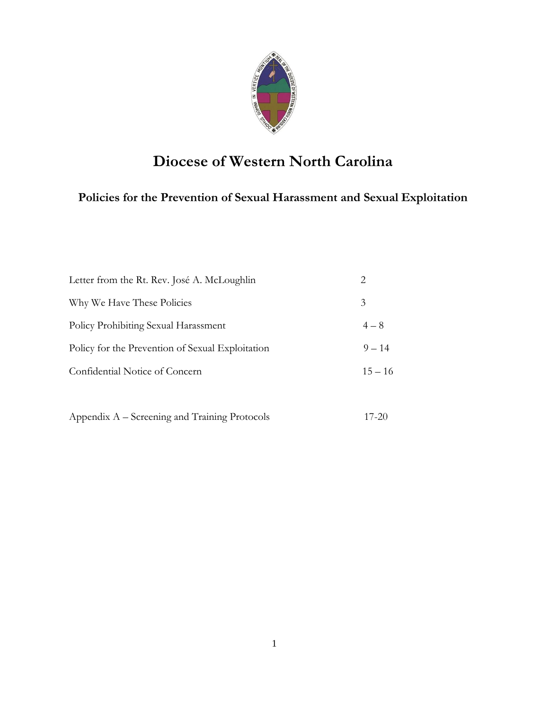

# **Diocese of Western North Carolina**

## **Policies for the Prevention of Sexual Harassment and Sexual Exploitation**

| Letter from the Rt. Rev. José A. McLoughlin      | 2         |
|--------------------------------------------------|-----------|
| Why We Have These Policies                       | 3         |
| Policy Prohibiting Sexual Harassment             | $4 - 8$   |
| Policy for the Prevention of Sexual Exploitation | $9 - 14$  |
| Confidential Notice of Concern                   | $15 - 16$ |
|                                                  |           |

|  | Appendix A – Screening and Training Protocols | $17 - 20$ |  |
|--|-----------------------------------------------|-----------|--|
|  |                                               |           |  |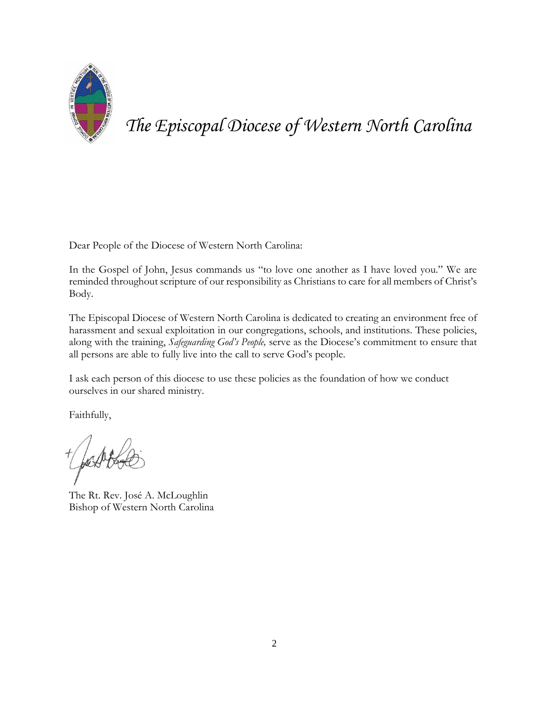

*The Episcopal Diocese of Western North Carolina*

Dear People of the Diocese of Western North Carolina:

In the Gospel of John, Jesus commands us "to love one another as I have loved you." We are reminded throughout scripture of our responsibility as Christians to care for all members of Christ's Body.

The Episcopal Diocese of Western North Carolina is dedicated to creating an environment free of harassment and sexual exploitation in our congregations, schools, and institutions. These policies, along with the training, *Safeguarding God's People,* serve as the Diocese's commitment to ensure that all persons are able to fully live into the call to serve God's people.

I ask each person of this diocese to use these policies as the foundation of how we conduct ourselves in our shared ministry.

Faithfully,

The Rt. Rev. José A. McLoughlin Bishop of Western North Carolina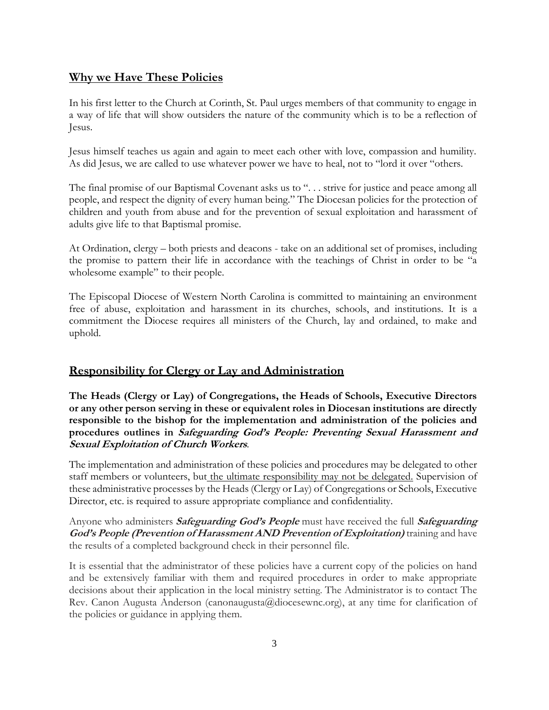## **Why we Have These Policies**

In his first letter to the Church at Corinth, St. Paul urges members of that community to engage in a way of life that will show outsiders the nature of the community which is to be a reflection of Jesus.

Jesus himself teaches us again and again to meet each other with love, compassion and humility. As did Jesus, we are called to use whatever power we have to heal, not to "lord it over "others.

The final promise of our Baptismal Covenant asks us to "... strive for justice and peace among all people, and respect the dignity of every human being." The Diocesan policies for the protection of children and youth from abuse and for the prevention of sexual exploitation and harassment of adults give life to that Baptismal promise.

At Ordination, clergy – both priests and deacons - take on an additional set of promises, including the promise to pattern their life in accordance with the teachings of Christ in order to be "a wholesome example" to their people.

The Episcopal Diocese of Western North Carolina is committed to maintaining an environment free of abuse, exploitation and harassment in its churches, schools, and institutions. It is a commitment the Diocese requires all ministers of the Church, lay and ordained, to make and uphold.

## **Responsibility for Clergy or Lay and Administration**

**The Heads (Clergy or Lay) of Congregations, the Heads of Schools, Executive Directors or any other person serving in these or equivalent roles in Diocesan institutions are directly responsible to the bishop for the implementation and administration of the policies and procedures outlines in Safeguarding God's People: Preventing Sexual Harassment and Sexual Exploitation of Church Workers***.*

The implementation and administration of these policies and procedures may be delegated to other staff members or volunteers, but the ultimate responsibility may not be delegated. Supervision of these administrative processes by the Heads (Clergy or Lay) of Congregations or Schools, Executive Director, etc. is required to assure appropriate compliance and confidentiality.

Anyone who administers **Safeguarding God's People** must have received the full **Safeguarding God's People (Prevention of Harassment AND Prevention of Exploitation)** training and have the results of a completed background check in their personnel file.

It is essential that the administrator of these policies have a current copy of the policies on hand and be extensively familiar with them and required procedures in order to make appropriate decisions about their application in the local ministry setting. The Administrator is to contact The Rev. Canon Augusta Anderson (canonaugusta@diocesewnc.org), at any time for clarification of the policies or guidance in applying them.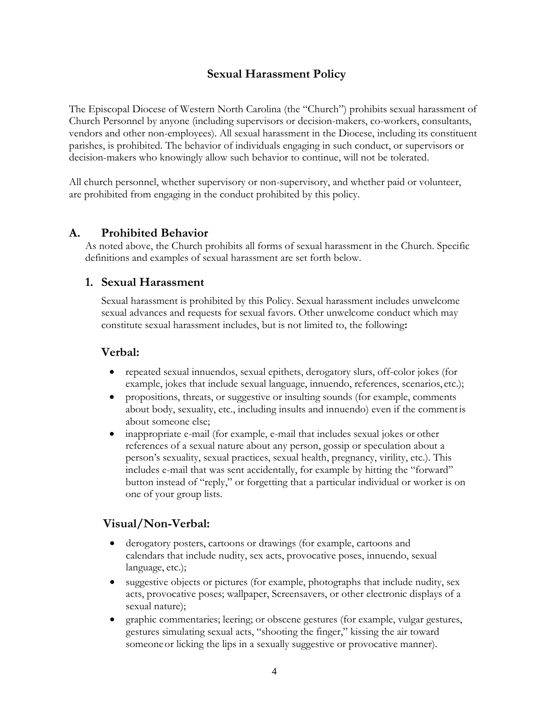## **Sexual Harassment Policy**

The Episcopal Diocese of Western North Carolina (the "Church") prohibits sexual harassment of Church Personnel by anyone (including supervisors or decision-makers, co-workers, consultants, vendors and other non-employees). All sexual harassment in the Diocese, including its constituent parishes, is prohibited. The behavior of individuals engaging in such conduct, or supervisors or decision-makers who knowingly allow such behavior to continue, will not be tolerated.

All church personnel, whether supervisory or non-supervisory, and whether paid or volunteer, are prohibited from engaging in the conduct prohibited by this policy.

#### **A. Prohibited Behavior**

As noted above, the Church prohibits all forms of sexual harassment in the Church. Specific definitions and examples of sexual harassment are set forth below.

## **1. Sexual Harassment**

Sexual harassment is prohibited by this Policy. Sexual harassment includes unwelcome sexual advances and requests for sexual favors. Other unwelcome conduct which may constitute sexual harassment includes, but is not limited to, the following**:**

## **Verbal:**

- repeated sexual innuendos, sexual epithets, derogatory slurs, off-color jokes (for example, jokes that include sexual language, innuendo, references, scenarios, etc.);
- propositions, threats, or suggestive or insulting sounds (for example, comments about body, sexuality, etc., including insults and innuendo) even if the commentis about someone else;
- inappropriate e-mail (for example, e-mail that includes sexual jokes or other references of a sexual nature about any person, gossip or speculation about a person's sexuality, sexual practices, sexual health, pregnancy, virility, etc.). This includes e-mail that was sent accidentally, for example by hitting the "forward" button instead of "reply," or forgetting that a particular individual or worker is on one of your group lists.

## **Visual/Non-Verbal:**

- derogatory posters, cartoons or drawings (for example, cartoons and calendars that include nudity, sex acts, provocative poses, innuendo, sexual language, etc.);
- suggestive objects or pictures (for example, photographs that include nudity, sex acts, provocative poses; wallpaper, Screensavers, or other electronic displays of a sexual nature);
- graphic commentaries; leering; or obscene gestures (for example, vulgar gestures, gestures simulating sexual acts, "shooting the finger," kissing the air toward someoneor licking the lips in a sexually suggestive or provocative manner).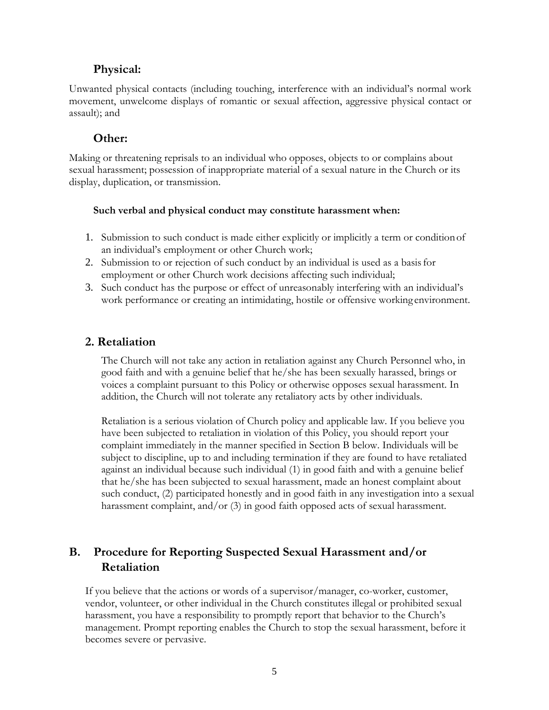## **Physical:**

Unwanted physical contacts (including touching, interference with an individual's normal work movement, unwelcome displays of romantic or sexual affection, aggressive physical contact or assault); and

## **Other:**

Making or threatening reprisals to an individual who opposes, objects to or complains about sexual harassment; possession of inappropriate material of a sexual nature in the Church or its display, duplication, or transmission.

#### **Such verbal and physical conduct may constitute harassment when:**

- 1. Submission to such conduct is made either explicitly or implicitly a term or conditionof an individual's employment or other Church work;
- 2. Submission to or rejection of such conduct by an individual is used as a basisfor employment or other Church work decisions affecting such individual;
- 3. Such conduct has the purpose or effect of unreasonably interfering with an individual's work performance or creating an intimidating, hostile or offensive working environment.

## **2. Retaliation**

The Church will not take any action in retaliation against any Church Personnel who, in good faith and with a genuine belief that he/she has been sexually harassed, brings or voices a complaint pursuant to this Policy or otherwise opposes sexual harassment. In addition, the Church will not tolerate any retaliatory acts by other individuals.

Retaliation is a serious violation of Church policy and applicable law. If you believe you have been subjected to retaliation in violation of this Policy, you should report your complaint immediately in the manner specified in Section B below. Individuals will be subject to discipline, up to and including termination if they are found to have retaliated against an individual because such individual (1) in good faith and with a genuine belief that he/she has been subjected to sexual harassment, made an honest complaint about such conduct, (2) participated honestly and in good faith in any investigation into a sexual harassment complaint, and/or (3) in good faith opposed acts of sexual harassment.

## **B. Procedure for Reporting Suspected Sexual Harassment and/or Retaliation**

If you believe that the actions or words of a supervisor/manager, co-worker, customer, vendor, volunteer, or other individual in the Church constitutes illegal or prohibited sexual harassment, you have a responsibility to promptly report that behavior to the Church's management. Prompt reporting enables the Church to stop the sexual harassment, before it becomes severe or pervasive.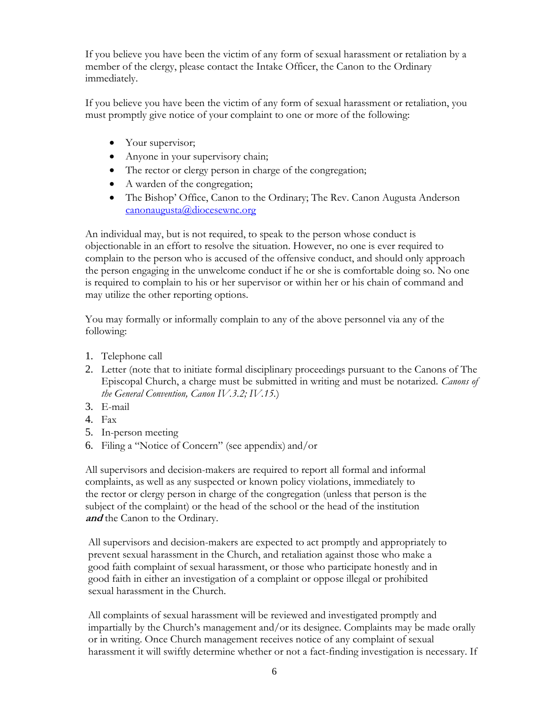If you believe you have been the victim of any form of sexual harassment or retaliation by a member of the clergy, please contact the Intake Officer, the Canon to the Ordinary immediately.

If you believe you have been the victim of any form of sexual harassment or retaliation, you must promptly give notice of your complaint to one or more of the following:

- Your supervisor;
- Anyone in your supervisory chain;
- The rector or clergy person in charge of the congregation;
- A warden of the congregation;
- The Bishop' Office, Canon to the Ordinary; The Rev. Canon Augusta Anderson [canonaugusta@diocesewnc.org](mailto:canonaugusta@diocesewnc.org)

An individual may, but is not required, to speak to the person whose conduct is objectionable in an effort to resolve the situation. However, no one is ever required to complain to the person who is accused of the offensive conduct, and should only approach the person engaging in the unwelcome conduct if he or she is comfortable doing so. No one is required to complain to his or her supervisor or within her or his chain of command and may utilize the other reporting options.

You may formally or informally complain to any of the above personnel via any of the following:

- 1. Telephone call
- 2. Letter (note that to initiate formal disciplinary proceedings pursuant to the Canons of The Episcopal Church, a charge must be submitted in writing and must be notarized. *Canons of the General Convention, Canon IV.3.2; IV.15.*)
- 3. E-mail
- 4. Fax
- 5. In-person meeting
- 6. Filing a "Notice of Concern" (see appendix) and/or

All supervisors and decision-makers are required to report all formal and informal complaints, as well as any suspected or known policy violations, immediately to the rector or clergy person in charge of the congregation (unless that person is the subject of the complaint) or the head of the school or the head of the institution **and** the Canon to the Ordinary.

All supervisors and decision-makers are expected to act promptly and appropriately to prevent sexual harassment in the Church, and retaliation against those who make a good faith complaint of sexual harassment, or those who participate honestly and in good faith in either an investigation of a complaint or oppose illegal or prohibited sexual harassment in the Church.

All complaints of sexual harassment will be reviewed and investigated promptly and impartially by the Church's management and/or its designee. Complaints may be made orally or in writing. Once Church management receives notice of any complaint of sexual harassment it will swiftly determine whether or not a fact-finding investigation is necessary. If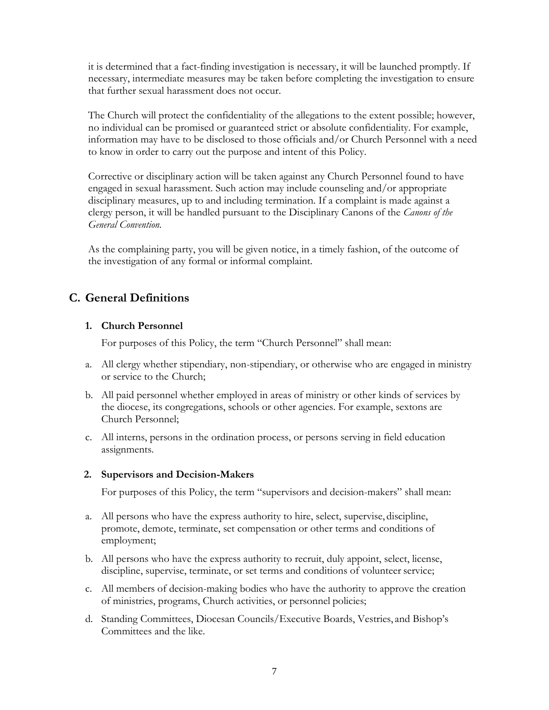it is determined that a fact-finding investigation is necessary, it will be launched promptly. If necessary, intermediate measures may be taken before completing the investigation to ensure that further sexual harassment does not occur.

The Church will protect the confidentiality of the allegations to the extent possible; however, no individual can be promised or guaranteed strict or absolute confidentiality. For example, information may have to be disclosed to those officials and/or Church Personnel with a need to know in order to carry out the purpose and intent of this Policy.

Corrective or disciplinary action will be taken against any Church Personnel found to have engaged in sexual harassment. Such action may include counseling and/or appropriate disciplinary measures, up to and including termination. If a complaint is made against a clergy person, it will be handled pursuant to the Disciplinary Canons of the *Canons of the General Convention.*

As the complaining party, you will be given notice, in a timely fashion, of the outcome of the investigation of any formal or informal complaint.

## **C. General Definitions**

#### **1. Church Personnel**

For purposes of this Policy, the term "Church Personnel" shall mean:

- a. All clergy whether stipendiary, non-stipendiary, or otherwise who are engaged in ministry or service to the Church;
- b. All paid personnel whether employed in areas of ministry or other kinds of services by the diocese, its congregations, schools or other agencies. For example, sextons are Church Personnel;
- c. All interns, persons in the ordination process, or persons serving in field education assignments.

#### **2. Supervisors and Decision-Makers**

For purposes of this Policy, the term "supervisors and decision-makers" shall mean:

- a. All persons who have the express authority to hire, select, supervise, discipline, promote, demote, terminate, set compensation or other terms and conditions of employment;
- b. All persons who have the express authority to recruit, duly appoint, select, license, discipline, supervise, terminate, or set terms and conditions of volunteer service;
- c. All members of decision-making bodies who have the authority to approve the creation of ministries, programs, Church activities, or personnel policies;
- d. Standing Committees, Diocesan Councils/Executive Boards, Vestries, and Bishop's Committees and the like.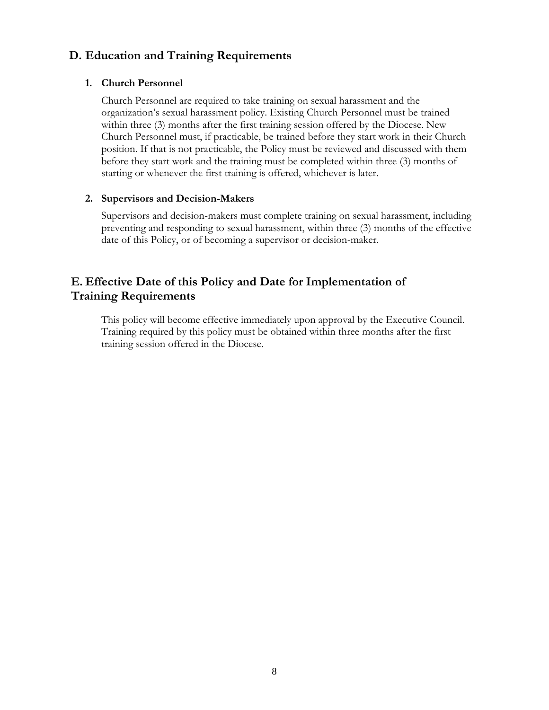## **D. Education and Training Requirements**

#### **1. Church Personnel**

Church Personnel are required to take training on sexual harassment and the organization's sexual harassment policy. Existing Church Personnel must be trained within three (3) months after the first training session offered by the Diocese. New Church Personnel must, if practicable, be trained before they start work in their Church position. If that is not practicable, the Policy must be reviewed and discussed with them before they start work and the training must be completed within three (3) months of starting or whenever the first training is offered, whichever is later.

#### **2. Supervisors and Decision-Makers**

Supervisors and decision-makers must complete training on sexual harassment, including preventing and responding to sexual harassment, within three (3) months of the effective date of this Policy, or of becoming a supervisor or decision-maker.

## **E. Effective Date of this Policy and Date for Implementation of Training Requirements**

This policy will become effective immediately upon approval by the Executive Council. Training required by this policy must be obtained within three months after the first training session offered in the Diocese.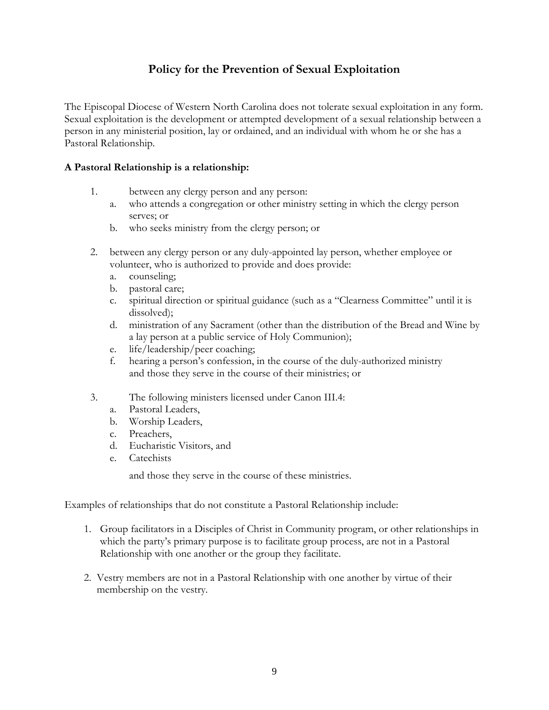## **Policy for the Prevention of Sexual Exploitation**

The Episcopal Diocese of Western North Carolina does not tolerate sexual exploitation in any form. Sexual exploitation is the development or attempted development of a sexual relationship between a person in any ministerial position, lay or ordained, and an individual with whom he or she has a Pastoral Relationship.

#### **A Pastoral Relationship is a relationship:**

- 1. between any clergy person and any person:
	- a. who attends a congregation or other ministry setting in which the clergy person serves; or
	- b. who seeks ministry from the clergy person; or
- 2. between any clergy person or any duly-appointed lay person, whether employee or volunteer, who is authorized to provide and does provide:
	- a. counseling;
	- b. pastoral care;
	- c. spiritual direction or spiritual guidance (such as a "Clearness Committee" until it is dissolved);
	- d. ministration of any Sacrament (other than the distribution of the Bread and Wine by a lay person at a public service of Holy Communion);
	- e. life/leadership/peer coaching;
	- f. hearing a person's confession, in the course of the duly-authorized ministry and those they serve in the course of their ministries; or
- 3. The following ministers licensed under Canon III.4:
	- a. Pastoral Leaders,
	- b. Worship Leaders,
	- c. Preachers,
	- d. Eucharistic Visitors, and
	- e. Catechists

and those they serve in the course of these ministries.

Examples of relationships that do not constitute a Pastoral Relationship include:

- 1. Group facilitators in a Disciples of Christ in Community program, or other relationships in which the party's primary purpose is to facilitate group process, are not in a Pastoral Relationship with one another or the group they facilitate.
- 2. Vestry members are not in a Pastoral Relationship with one another by virtue of their membership on the vestry.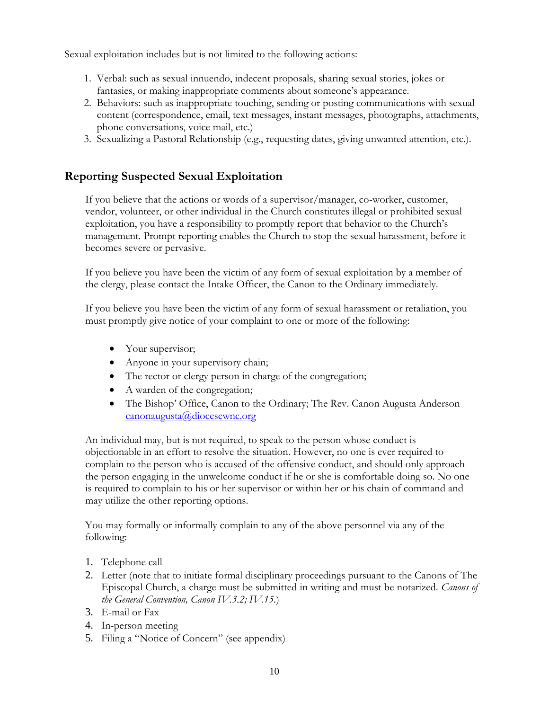Sexual exploitation includes but is not limited to the following actions:

- 1. Verbal: such as sexual innuendo, indecent proposals, sharing sexual stories, jokes or fantasies, or making inappropriate comments about someone's appearance.
- 2. Behaviors: such as inappropriate touching, sending or posting communications with sexual content (correspondence, email, text messages, instant messages, photographs, attachments, phone conversations, voice mail, etc.)
- 3. Sexualizing a Pastoral Relationship (e.g., requesting dates, giving unwanted attention, etc.).

## **Reporting Suspected Sexual Exploitation**

If you believe that the actions or words of a supervisor/manager, co-worker, customer, vendor, volunteer, or other individual in the Church constitutes illegal or prohibited sexual exploitation, you have a responsibility to promptly report that behavior to the Church's management. Prompt reporting enables the Church to stop the sexual harassment, before it becomes severe or pervasive.

If you believe you have been the victim of any form of sexual exploitation by a member of the clergy, please contact the Intake Officer, the Canon to the Ordinary immediately.

If you believe you have been the victim of any form of sexual harassment or retaliation, you must promptly give notice of your complaint to one or more of the following:

- Your supervisor;
- Anyone in your supervisory chain;
- The rector or clergy person in charge of the congregation;
- A warden of the congregation;
- The Bishop' Office, Canon to the Ordinary; The Rev. Canon Augusta Anderson [canonaugusta@diocesewnc.org](mailto:canonaugusta@diocesewnc.org)

An individual may, but is not required, to speak to the person whose conduct is objectionable in an effort to resolve the situation. However, no one is ever required to complain to the person who is accused of the offensive conduct, and should only approach the person engaging in the unwelcome conduct if he or she is comfortable doing so. No one is required to complain to his or her supervisor or within her or his chain of command and may utilize the other reporting options.

You may formally or informally complain to any of the above personnel via any of the following:

- 1. Telephone call
- 2. Letter (note that to initiate formal disciplinary proceedings pursuant to the Canons of The Episcopal Church, a charge must be submitted in writing and must be notarized. *Canons of the General Convention, Canon IV.3.2; IV.15.*)
- 3. E-mail or Fax
- 4. In-person meeting
- 5. Filing a "Notice of Concern" (see appendix)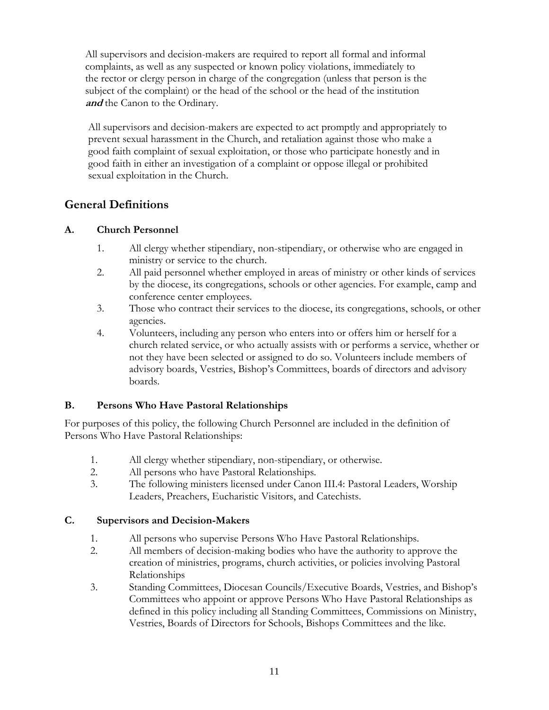All supervisors and decision-makers are required to report all formal and informal complaints, as well as any suspected or known policy violations, immediately to the rector or clergy person in charge of the congregation (unless that person is the subject of the complaint) or the head of the school or the head of the institution **and** the Canon to the Ordinary.

All supervisors and decision-makers are expected to act promptly and appropriately to prevent sexual harassment in the Church, and retaliation against those who make a good faith complaint of sexual exploitation, or those who participate honestly and in good faith in either an investigation of a complaint or oppose illegal or prohibited sexual exploitation in the Church.

## **General Definitions**

## **A. Church Personnel**

- 1. All clergy whether stipendiary, non-stipendiary, or otherwise who are engaged in ministry or service to the church.
- 2. All paid personnel whether employed in areas of ministry or other kinds of services by the diocese, its congregations, schools or other agencies. For example, camp and conference center employees.
- 3. Those who contract their services to the diocese, its congregations, schools, or other agencies.
- 4. Volunteers, including any person who enters into or offers him or herself for a church related service, or who actually assists with or performs a service, whether or not they have been selected or assigned to do so. Volunteers include members of advisory boards, Vestries, Bishop's Committees, boards of directors and advisory boards.

## **B. Persons Who Have Pastoral Relationships**

For purposes of this policy, the following Church Personnel are included in the definition of Persons Who Have Pastoral Relationships:

- 1. All clergy whether stipendiary, non-stipendiary, or otherwise.
- 2. All persons who have Pastoral Relationships.
- 3. The following ministers licensed under Canon III.4: Pastoral Leaders, Worship Leaders, Preachers, Eucharistic Visitors, and Catechists.

## **C. Supervisors and Decision-Makers**

- 1. All persons who supervise Persons Who Have Pastoral Relationships.
- 2. All members of decision-making bodies who have the authority to approve the creation of ministries, programs, church activities, or policies involving Pastoral Relationships
- 3. Standing Committees, Diocesan Councils/Executive Boards, Vestries, and Bishop's Committees who appoint or approve Persons Who Have Pastoral Relationships as defined in this policy including all Standing Committees, Commissions on Ministry, Vestries, Boards of Directors for Schools, Bishops Committees and the like.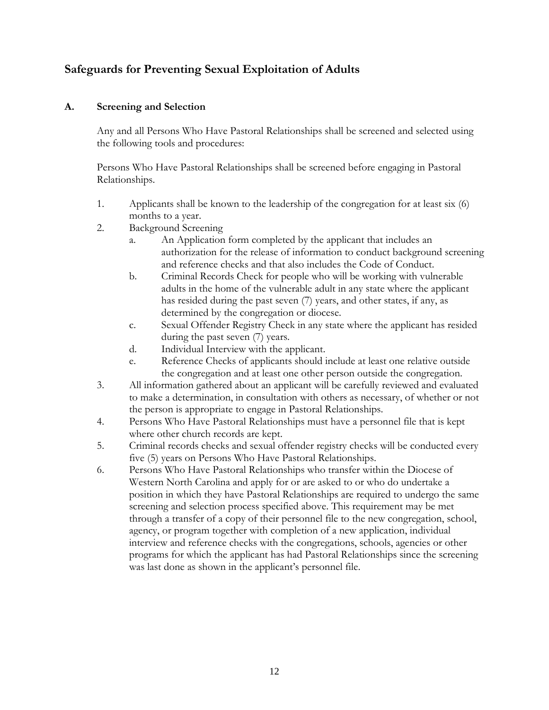## **Safeguards for Preventing Sexual Exploitation of Adults**

#### **A. Screening and Selection**

Any and all Persons Who Have Pastoral Relationships shall be screened and selected using the following tools and procedures:

Persons Who Have Pastoral Relationships shall be screened before engaging in Pastoral Relationships.

- 1. Applicants shall be known to the leadership of the congregation for at least six (6) months to a year.
- 2. Background Screening
	- a. An Application form completed by the applicant that includes an authorization for the release of information to conduct background screening and reference checks and that also includes the Code of Conduct.
	- b. Criminal Records Check for people who will be working with vulnerable adults in the home of the vulnerable adult in any state where the applicant has resided during the past seven (7) years, and other states, if any, as determined by the congregation or diocese.
	- c. Sexual Offender Registry Check in any state where the applicant has resided during the past seven (7) years.
	- d. Individual Interview with the applicant.
	- e. Reference Checks of applicants should include at least one relative outside the congregation and at least one other person outside the congregation.
- 3. All information gathered about an applicant will be carefully reviewed and evaluated to make a determination, in consultation with others as necessary, of whether or not the person is appropriate to engage in Pastoral Relationships.
- 4. Persons Who Have Pastoral Relationships must have a personnel file that is kept where other church records are kept.
- 5. Criminal records checks and sexual offender registry checks will be conducted every five (5) years on Persons Who Have Pastoral Relationships.
- 6. Persons Who Have Pastoral Relationships who transfer within the Diocese of Western North Carolina and apply for or are asked to or who do undertake a position in which they have Pastoral Relationships are required to undergo the same screening and selection process specified above. This requirement may be met through a transfer of a copy of their personnel file to the new congregation, school, agency, or program together with completion of a new application, individual interview and reference checks with the congregations, schools, agencies or other programs for which the applicant has had Pastoral Relationships since the screening was last done as shown in the applicant's personnel file.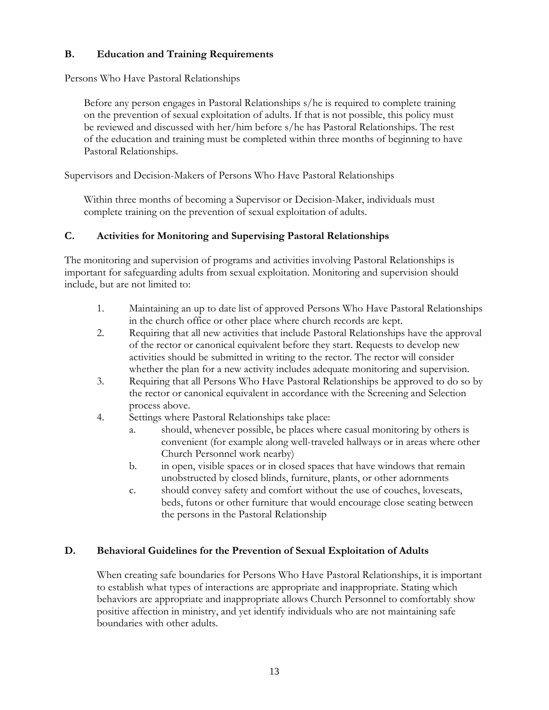## **B. Education and Training Requirements**

Persons Who Have Pastoral Relationships

Before any person engages in Pastoral Relationships s/he is required to complete training on the prevention of sexual exploitation of adults. If that is not possible, this policy must be reviewed and discussed with her/him before s/he has Pastoral Relationships. The rest of the education and training must be completed within three months of beginning to have Pastoral Relationships.

Supervisors and Decision-Makers of Persons Who Have Pastoral Relationships

Within three months of becoming a Supervisor or Decision-Maker, individuals must complete training on the prevention of sexual exploitation of adults.

## **C. Activities for Monitoring and Supervising Pastoral Relationships**

The monitoring and supervision of programs and activities involving Pastoral Relationships is important for safeguarding adults from sexual exploitation. Monitoring and supervision should include, but are not limited to:

- 1. Maintaining an up to date list of approved Persons Who Have Pastoral Relationships in the church office or other place where church records are kept.
- 2. Requiring that all new activities that include Pastoral Relationships have the approval of the rector or canonical equivalent before they start. Requests to develop new activities should be submitted in writing to the rector. The rector will consider whether the plan for a new activity includes adequate monitoring and supervision.
- 3. Requiring that all Persons Who Have Pastoral Relationships be approved to do so by the rector or canonical equivalent in accordance with the Screening and Selection process above.
- 4. Settings where Pastoral Relationships take place:
	- a. should, whenever possible, be places where casual monitoring by others is convenient (for example along well-traveled hallways or in areas where other Church Personnel work nearby)
	- b. in open, visible spaces or in closed spaces that have windows that remain unobstructed by closed blinds, furniture, plants, or other adornments
	- c. should convey safety and comfort without the use of couches, loveseats, beds, futons or other furniture that would encourage close seating between the persons in the Pastoral Relationship

## **D. Behavioral Guidelines for the Prevention of Sexual Exploitation of Adults**

When creating safe boundaries for Persons Who Have Pastoral Relationships, it is important to establish what types of interactions are appropriate and inappropriate. Stating which behaviors are appropriate and inappropriate allows Church Personnel to comfortably show positive affection in ministry, and yet identify individuals who are not maintaining safe boundaries with other adults.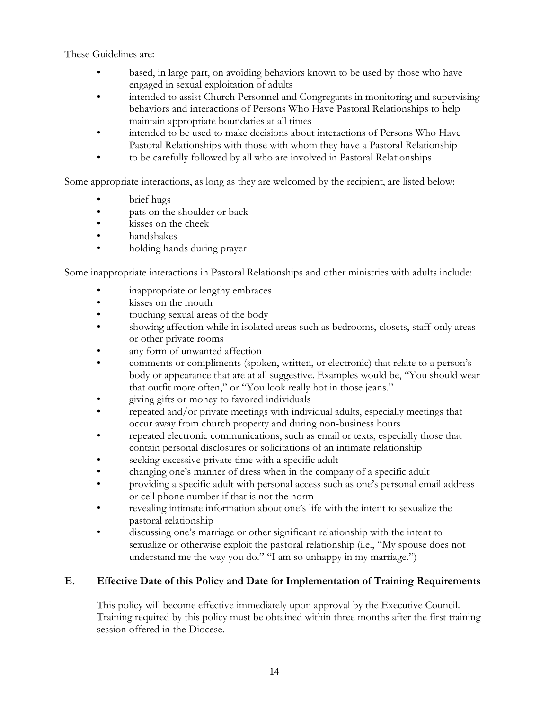These Guidelines are:

- based, in large part, on avoiding behaviors known to be used by those who have engaged in sexual exploitation of adults
- intended to assist Church Personnel and Congregants in monitoring and supervising behaviors and interactions of Persons Who Have Pastoral Relationships to help maintain appropriate boundaries at all times
- intended to be used to make decisions about interactions of Persons Who Have Pastoral Relationships with those with whom they have a Pastoral Relationship
- to be carefully followed by all who are involved in Pastoral Relationships

Some appropriate interactions, as long as they are welcomed by the recipient, are listed below:

- brief hugs
- pats on the shoulder or back
- kisses on the cheek
- handshakes
- holding hands during prayer

Some inappropriate interactions in Pastoral Relationships and other ministries with adults include:

- inappropriate or lengthy embraces
- kisses on the mouth
- touching sexual areas of the body
- showing affection while in isolated areas such as bedrooms, closets, staff-only areas or other private rooms
- any form of unwanted affection
- comments or compliments (spoken, written, or electronic) that relate to a person's body or appearance that are at all suggestive. Examples would be, "You should wear that outfit more often," or "You look really hot in those jeans."
- giving gifts or money to favored individuals
- repeated and/or private meetings with individual adults, especially meetings that occur away from church property and during non-business hours
- repeated electronic communications, such as email or texts, especially those that contain personal disclosures or solicitations of an intimate relationship
- seeking excessive private time with a specific adult
- changing one's manner of dress when in the company of a specific adult
- providing a specific adult with personal access such as one's personal email address or cell phone number if that is not the norm
- revealing intimate information about one's life with the intent to sexualize the pastoral relationship
- discussing one's marriage or other significant relationship with the intent to sexualize or otherwise exploit the pastoral relationship (i.e., "My spouse does not understand me the way you do." "I am so unhappy in my marriage.")

## **E. Effective Date of this Policy and Date for Implementation of Training Requirements**

This policy will become effective immediately upon approval by the Executive Council. Training required by this policy must be obtained within three months after the first training session offered in the Diocese.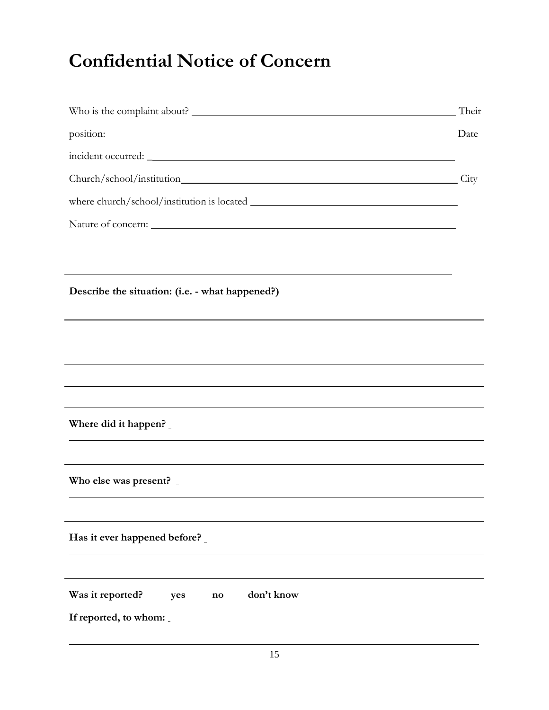# **Confidential Notice of Concern**

| Who is the complaint about? Their                              |      |
|----------------------------------------------------------------|------|
| position: Date                                                 |      |
|                                                                |      |
| Church/school/institution                                      | City |
|                                                                |      |
|                                                                |      |
|                                                                |      |
|                                                                |      |
| Describe the situation: (i.e. - what happened?)                |      |
|                                                                |      |
|                                                                |      |
|                                                                |      |
|                                                                |      |
|                                                                |      |
| Where did it happen?                                           |      |
|                                                                |      |
|                                                                |      |
| Who else was present? _                                        |      |
|                                                                |      |
| Has it ever happened before?                                   |      |
|                                                                |      |
|                                                                |      |
| Was it reported? ________ yes<br>don't know<br>$\overline{no}$ |      |
| If reported, to whom:                                          |      |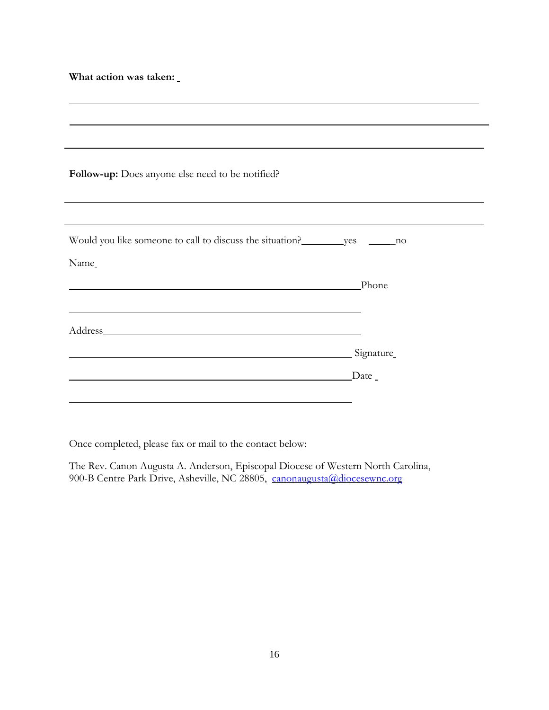**What action was taken:**

| Follow-up: Does anyone else need to be notified?                                                                                                                                                                               |         |
|--------------------------------------------------------------------------------------------------------------------------------------------------------------------------------------------------------------------------------|---------|
|                                                                                                                                                                                                                                |         |
|                                                                                                                                                                                                                                |         |
|                                                                                                                                                                                                                                |         |
|                                                                                                                                                                                                                                |         |
| Name                                                                                                                                                                                                                           |         |
|                                                                                                                                                                                                                                | Phone   |
|                                                                                                                                                                                                                                |         |
|                                                                                                                                                                                                                                |         |
| Address Address and the state of the state of the state of the state of the state of the state of the state of the state of the state of the state of the state of the state of the state of the state of the state of the sta |         |
| Signature                                                                                                                                                                                                                      |         |
|                                                                                                                                                                                                                                | $Date_$ |
| <u> 1989 - Johann John Stein, markin f</u>                                                                                                                                                                                     |         |
|                                                                                                                                                                                                                                |         |

Once completed, please fax or mail to the contact below:

The Rev. Canon Augusta A. Anderson, Episcopal Diocese of Western North Carolina, 900-B Centre Park Drive, Asheville, NC 28805, [canonaugusta@diocesewnc.org](mailto:canonaugusta@diocesewnc.org)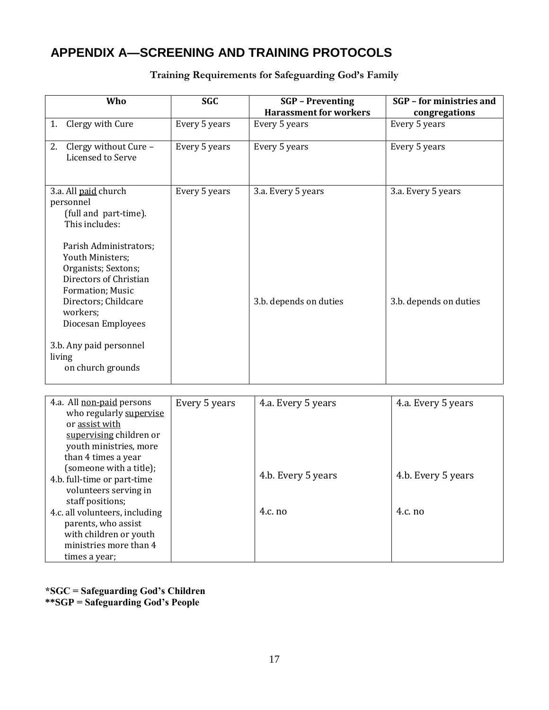## **APPENDIX A—SCREENING AND TRAINING PROTOCOLS**

| Who                                                                                                                                                                           | <b>SGC</b>    | <b>SGP</b> - Preventing<br><b>Harassment for workers</b> | SGP - for ministries and                 |
|-------------------------------------------------------------------------------------------------------------------------------------------------------------------------------|---------------|----------------------------------------------------------|------------------------------------------|
|                                                                                                                                                                               |               |                                                          | congregations                            |
| 1. Clergy with Cure                                                                                                                                                           | Every 5 years | Every 5 years                                            | Every 5 years                            |
| 2. Clergy without Cure -<br>Licensed to Serve                                                                                                                                 | Every 5 years | Every 5 years                                            | Every 5 years                            |
| 3.a. All paid church<br>personnel<br>(full and part-time).<br>This includes:                                                                                                  | Every 5 years | 3.a. Every 5 years                                       | 3.a. Every 5 years                       |
| Parish Administrators;<br>Youth Ministers;<br>Organists; Sextons;<br>Directors of Christian<br>Formation; Music<br>Directors; Childcare<br>workers;<br>Diocesan Employees     |               | 3.b. depends on duties                                   | 3.b. depends on duties                   |
| 3.b. Any paid personnel<br>living<br>on church grounds                                                                                                                        |               |                                                          |                                          |
|                                                                                                                                                                               |               |                                                          |                                          |
| 4.a. All non-paid persons<br>who regularly supervise<br>or assist with<br>supervising children or<br>youth ministries, more<br>than 4 times a year<br>(someone with a title); | Every 5 years | 4.a. Every 5 years<br>4.b. Every 5 years                 | 4.a. Every 5 years<br>4.b. Every 5 years |
| 4.b. full-time or part-time<br>volunteers serving in                                                                                                                          |               |                                                          |                                          |

**Training Requirements for Safeguarding God's Family**

**\*SGC = Safeguarding God's Children**

**\*\*SGP = Safeguarding God's People**

 staff positions; 4.c. all volunteers, including parents, who assist with children or youth ministries more than 4

times a year;

4.c. no

4.c. no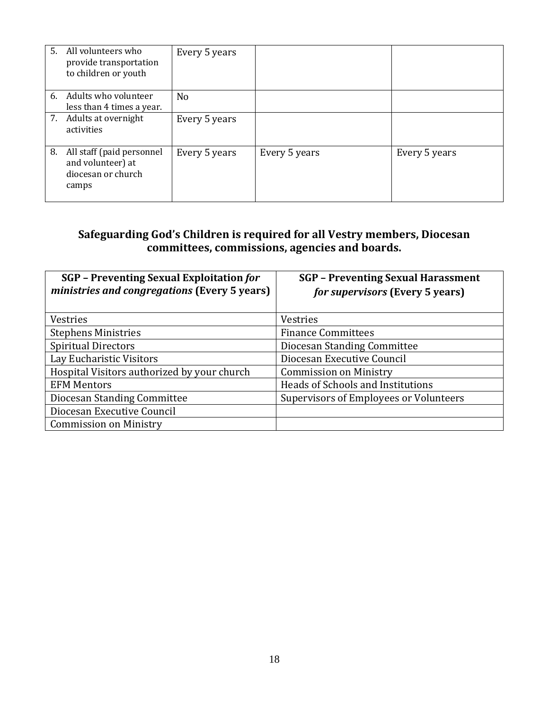|    | 5. All volunteers who<br>provide transportation<br>to children or youth       | Every 5 years |               |               |
|----|-------------------------------------------------------------------------------|---------------|---------------|---------------|
|    | 6. Adults who volunteer<br>less than 4 times a year.                          | No            |               |               |
|    | 7. Adults at overnight<br>activities                                          | Every 5 years |               |               |
| 8. | All staff (paid personnel<br>and volunteer) at<br>diocesan or church<br>camps | Every 5 years | Every 5 years | Every 5 years |

## **Safeguarding God's Children is required for all Vestry members, Diocesan committees, commissions, agencies and boards.**

| <b>SGP</b> - Preventing Sexual Exploitation for<br>ministries and congregations (Every 5 years) | <b>SGP</b> - Preventing Sexual Harassment<br><i>for supervisors</i> (Every 5 years) |
|-------------------------------------------------------------------------------------------------|-------------------------------------------------------------------------------------|
| Vestries                                                                                        | Vestries                                                                            |
| <b>Stephens Ministries</b>                                                                      | <b>Finance Committees</b>                                                           |
| <b>Spiritual Directors</b>                                                                      | Diocesan Standing Committee                                                         |
| Lay Eucharistic Visitors                                                                        | Diocesan Executive Council                                                          |
| Hospital Visitors authorized by your church                                                     | <b>Commission on Ministry</b>                                                       |
| <b>EFM Mentors</b>                                                                              | Heads of Schools and Institutions                                                   |
| Diocesan Standing Committee                                                                     | Supervisors of Employees or Volunteers                                              |
| Diocesan Executive Council                                                                      |                                                                                     |
| <b>Commission on Ministry</b>                                                                   |                                                                                     |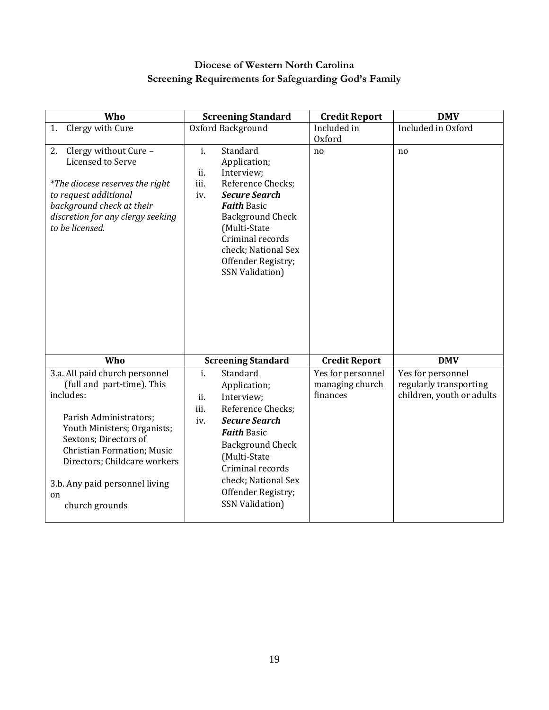## **Diocese of Western North Carolina Screening Requirements for Safeguarding God's Family**

| Who                                                                                                                                                                                                                                                                                        | <b>Screening Standard</b>                                                                                                                                                                                                                                                                | <b>Credit Report</b>                             | <b>DMV</b>                                                               |
|--------------------------------------------------------------------------------------------------------------------------------------------------------------------------------------------------------------------------------------------------------------------------------------------|------------------------------------------------------------------------------------------------------------------------------------------------------------------------------------------------------------------------------------------------------------------------------------------|--------------------------------------------------|--------------------------------------------------------------------------|
| 1. Clergy with Cure                                                                                                                                                                                                                                                                        | Oxford Background                                                                                                                                                                                                                                                                        | Included in                                      | Included in Oxford                                                       |
|                                                                                                                                                                                                                                                                                            |                                                                                                                                                                                                                                                                                          | Oxford                                           |                                                                          |
| 2. Clergy without Cure -<br>Licensed to Serve<br>*The diocese reserves the right<br>to request additional<br>background check at their<br>discretion for any clergy seeking<br>to be licensed.                                                                                             | $\mathbf{i}$ .<br>Standard<br>Application;<br>ii.<br>Interview;<br>iii.<br>Reference Checks;<br><b>Secure Search</b><br>iv.<br><b>Faith Basic</b><br><b>Background Check</b><br>(Multi-State<br>Criminal records<br>check; National Sex<br>Offender Registry;<br><b>SSN Validation)</b>  | no                                               | n <sub>o</sub>                                                           |
| Who                                                                                                                                                                                                                                                                                        | <b>Screening Standard</b>                                                                                                                                                                                                                                                                | <b>Credit Report</b>                             | <b>DMV</b>                                                               |
| 3.a. All paid church personnel<br>(full and part-time). This<br>includes:<br>Parish Administrators;<br>Youth Ministers; Organists;<br>Sextons; Directors of<br><b>Christian Formation; Music</b><br>Directors; Childcare workers<br>3.b. Any paid personnel living<br>on<br>church grounds | $\mathbf{i}$ .<br>Standard<br>Application;<br>ii.<br>Interview;<br>Reference Checks;<br>iii.<br><b>Secure Search</b><br>iv.<br><b>Faith Basic</b><br><b>Background Check</b><br>(Multi-State<br>Criminal records<br>check; National Sex<br>Offender Registry;<br><b>SSN Validation</b> ) | Yes for personnel<br>managing church<br>finances | Yes for personnel<br>regularly transporting<br>children, youth or adults |